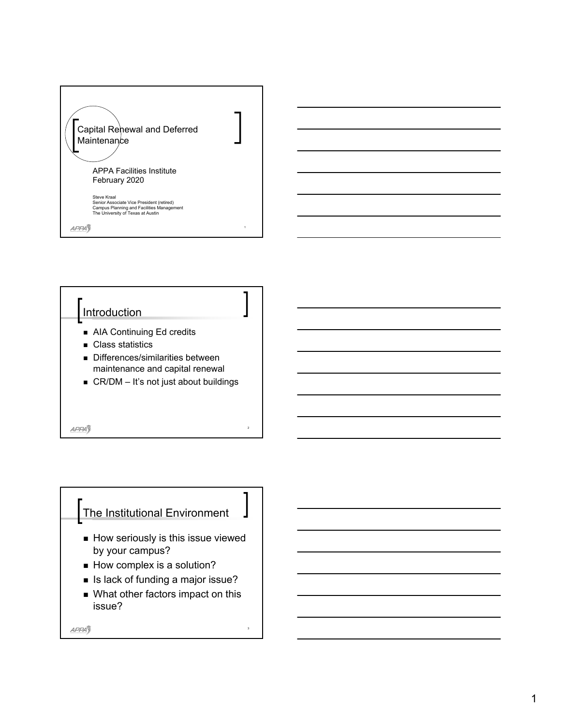



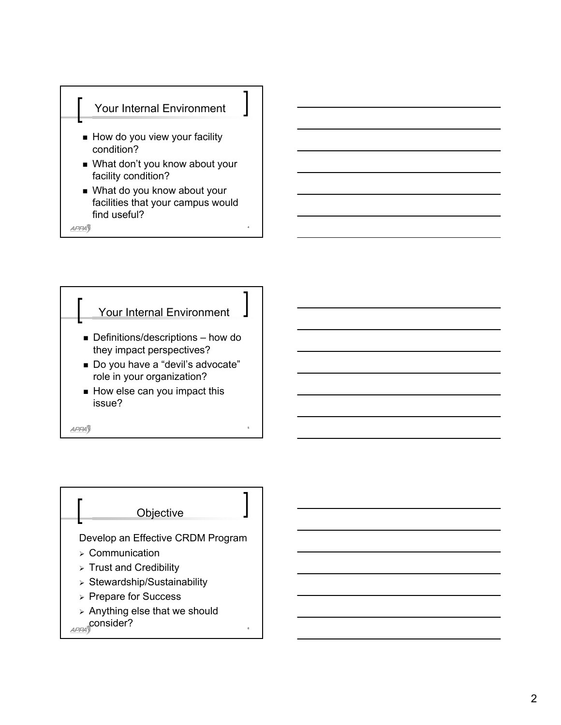

4

**APPA** 



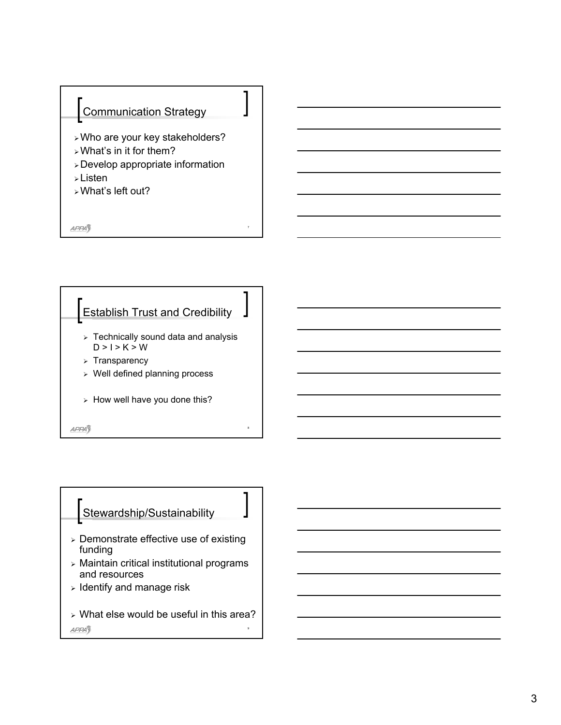

7

**APPA** 



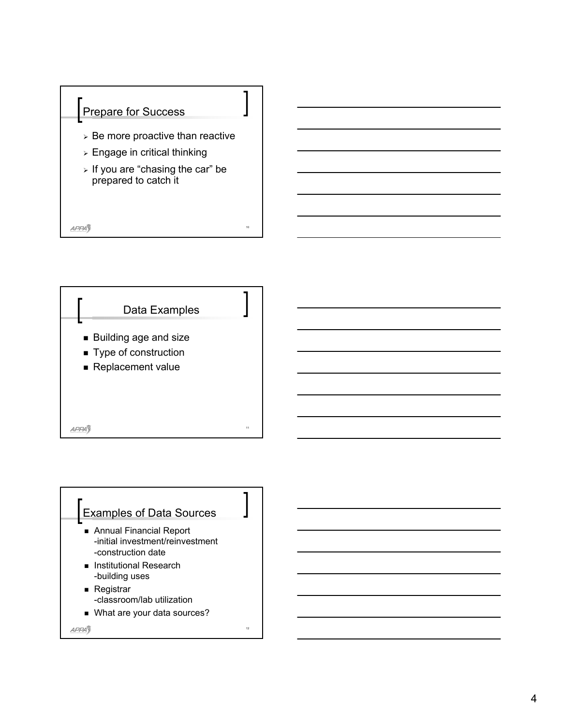



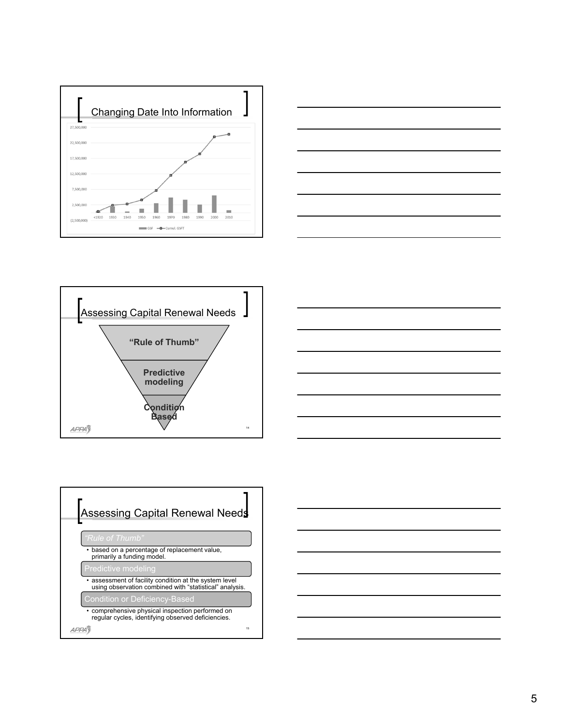









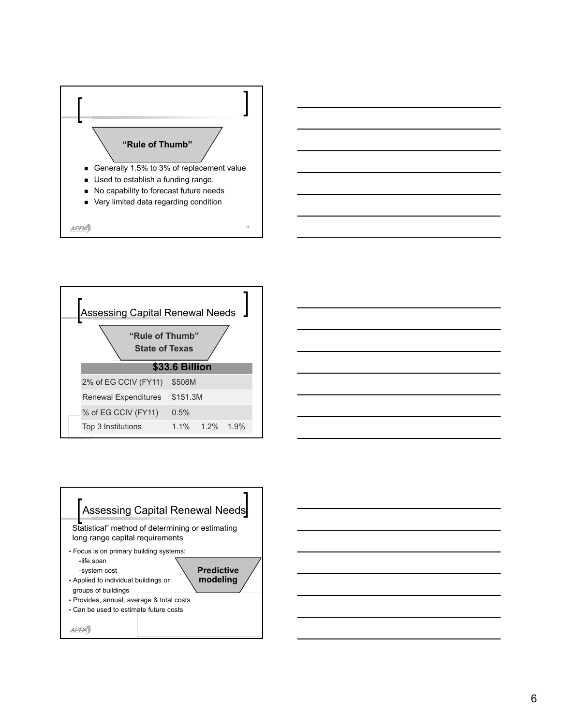





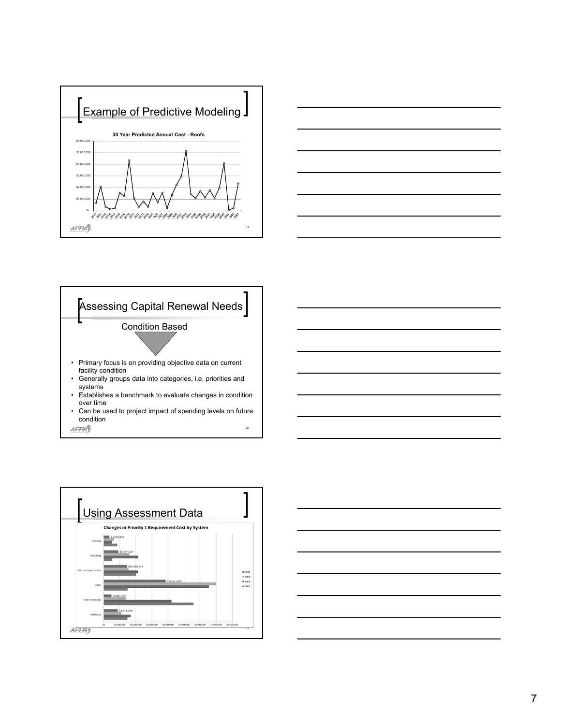







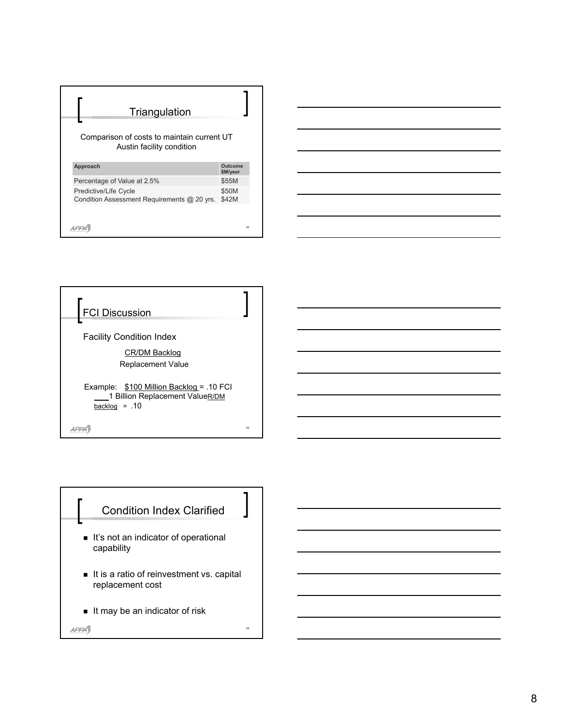| Comparison of costs to maintain current UT<br>Austin facility condition<br>Approach<br>Outcome<br>\$M/year<br>Percentage of Value at 2.5%<br>\$55M<br>\$50M<br><b>Predictive/Life Cycle</b> | Triangulation                               |       |
|---------------------------------------------------------------------------------------------------------------------------------------------------------------------------------------------|---------------------------------------------|-------|
|                                                                                                                                                                                             |                                             |       |
|                                                                                                                                                                                             |                                             |       |
|                                                                                                                                                                                             |                                             |       |
|                                                                                                                                                                                             |                                             |       |
|                                                                                                                                                                                             | Condition Assessment Requirements @ 20 yrs. | \$42M |



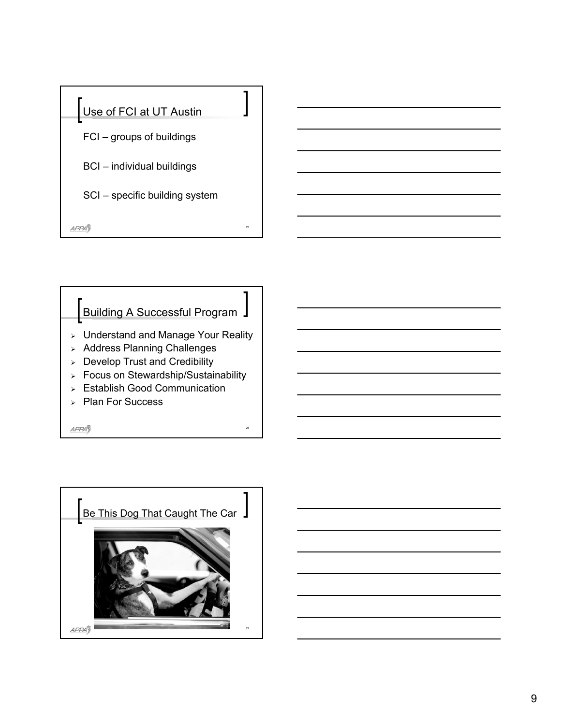



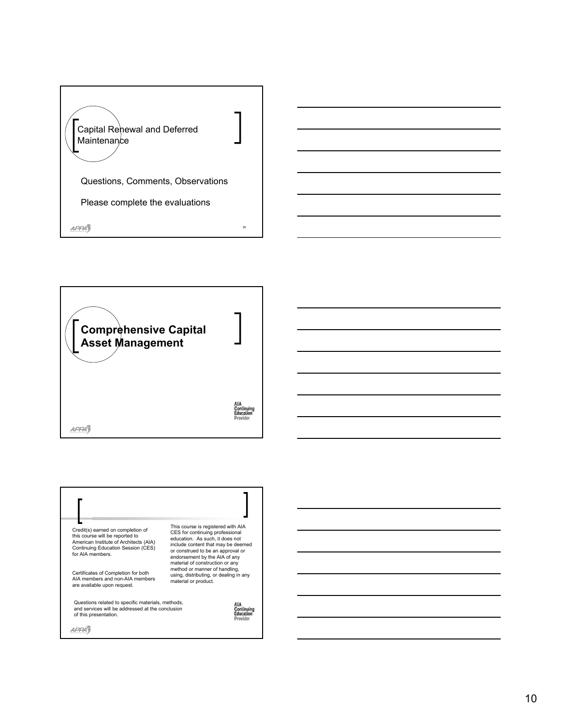





10